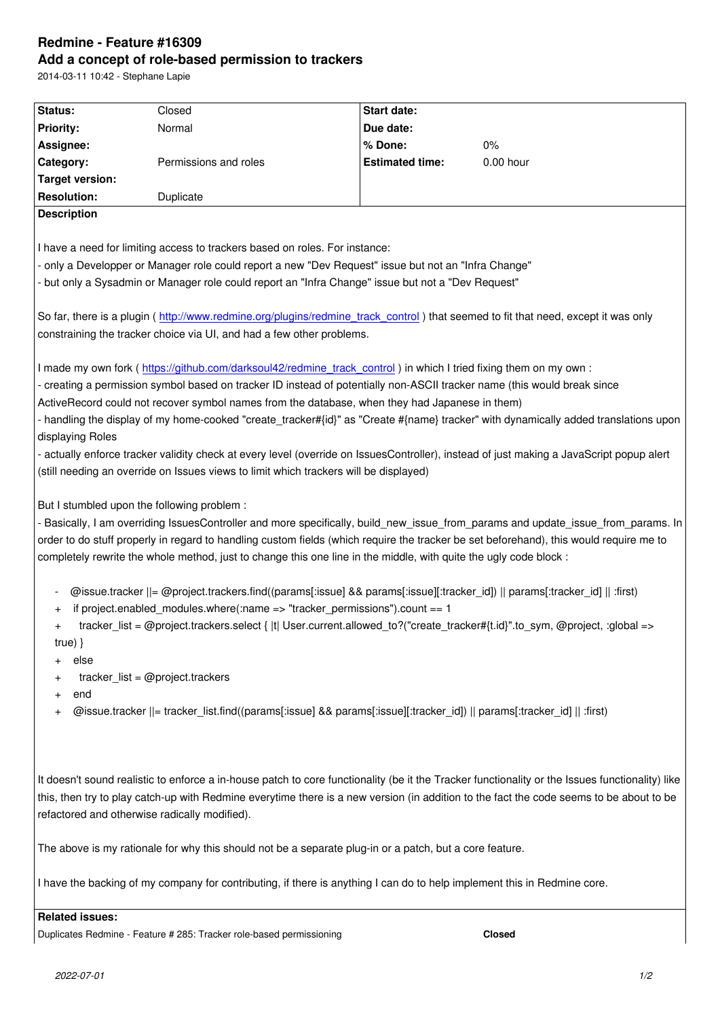#### **Add a concept of role-based permission to trackers**

2014-03-11 10:42 - Stephane Lapie

| Status:                                                                                                                                                 | Closed                | <b>Start date:</b>     |           |
|---------------------------------------------------------------------------------------------------------------------------------------------------------|-----------------------|------------------------|-----------|
| <b>Priority:</b>                                                                                                                                        | Normal                | Due date:              |           |
| Assignee:                                                                                                                                               |                       | % Done:                | $0\%$     |
| Category:                                                                                                                                               | Permissions and roles | <b>Estimated time:</b> | 0.00 hour |
| <b>Target version:</b>                                                                                                                                  |                       |                        |           |
| <b>Resolution:</b>                                                                                                                                      | Duplicate             |                        |           |
| <b>Description</b>                                                                                                                                      |                       |                        |           |
|                                                                                                                                                         |                       |                        |           |
| I have a need for limiting access to trackers based on roles. For instance:                                                                             |                       |                        |           |
| - only a Developper or Manager role could report a new "Dev Request" issue but not an "Infra Change"                                                    |                       |                        |           |
| - but only a Sysadmin or Manager role could report an "Infra Change" issue but not a "Dev Request"                                                      |                       |                        |           |
|                                                                                                                                                         |                       |                        |           |
| So far, there is a plugin (http://www.redmine.org/plugins/redmine_track_control) that seemed to fit that need, except it was only                       |                       |                        |           |
| constraining the tracker choice via UI, and had a few other problems.                                                                                   |                       |                        |           |
|                                                                                                                                                         |                       |                        |           |
| I made my own fork (https://github.com/darksoul42/redmine track control) in which I tried fixing them on my own :                                       |                       |                        |           |
| - creating a permission symbol based on tracker ID instead of potentially non-ASCII tracker name (this would break since                                |                       |                        |           |
| ActiveRecord could not recover symbol names from the database, when they had Japanese in them)                                                          |                       |                        |           |
| - handling the display of my home-cooked "create_tracker#{id}" as "Create #{name} tracker" with dynamically added translations upon                     |                       |                        |           |
| displaying Roles                                                                                                                                        |                       |                        |           |
| - actually enforce tracker validity check at every level (override on IssuesController), instead of just making a JavaScript popup alert                |                       |                        |           |
| (still needing an override on Issues views to limit which trackers will be displayed)                                                                   |                       |                        |           |
|                                                                                                                                                         |                       |                        |           |
| But I stumbled upon the following problem :                                                                                                             |                       |                        |           |
| - Basically, I am overriding IssuesController and more specifically, build_new_issue_from_params and update_issue_from_params. In                       |                       |                        |           |
| order to do stuff properly in regard to handling custom fields (which require the tracker be set beforehand), this would require me to                  |                       |                        |           |
| completely rewrite the whole method, just to change this one line in the middle, with quite the ugly code block :                                       |                       |                        |           |
|                                                                                                                                                         |                       |                        |           |
| @issue.tracker   = @project.trackers.find((params[:issue] && params[:issue][:tracker_id])    params[:tracker_id]    :first)<br>$\overline{\phantom{a}}$ |                       |                        |           |
| if project.enabled_modules.where(:name => "tracker_permissions").count == $1$<br>$\ddot{}$                                                              |                       |                        |           |
| tracker_list = @project.trackers.select {  t  User.current.allowed_to?("create_tracker#{t.id}".to_sym, @project, :global =><br>$\ddot{}$                |                       |                        |           |
| true) $\}$                                                                                                                                              |                       |                        |           |
| else                                                                                                                                                    |                       |                        |           |
| $\text{tracker\_list} = \textcircled{Oproject}\text{.tracksers}$<br>$\pmb{+}$                                                                           |                       |                        |           |
| end<br>$\pmb{+}$                                                                                                                                        |                       |                        |           |
| @issue.tracker   = tracker_list.find((params[:issue] && params[:issue][:tracker_id])    params[:tracker_id]    :first)<br>$\pmb{+}$                     |                       |                        |           |
|                                                                                                                                                         |                       |                        |           |
|                                                                                                                                                         |                       |                        |           |
|                                                                                                                                                         |                       |                        |           |
| It doesn't sound realistic to enforce a in-house patch to core functionality (be it the Tracker functionality or the Issues functionality) like         |                       |                        |           |
| this, then try to play catch-up with Redmine everytime there is a new version (in addition to the fact the code seems to be about to be                 |                       |                        |           |
| refactored and otherwise radically modified).                                                                                                           |                       |                        |           |
|                                                                                                                                                         |                       |                        |           |
| The above is my rationale for why this should not be a separate plug-in or a patch, but a core feature.                                                 |                       |                        |           |
|                                                                                                                                                         |                       |                        |           |
| I have the backing of my company for contributing, if there is anything I can do to help implement this in Redmine core.                                |                       |                        |           |
|                                                                                                                                                         |                       |                        |           |
| <b>Related issues:</b>                                                                                                                                  |                       |                        |           |

Duplicates Redmine - Feature # 285: Tracker role-based permissioning **Closed**